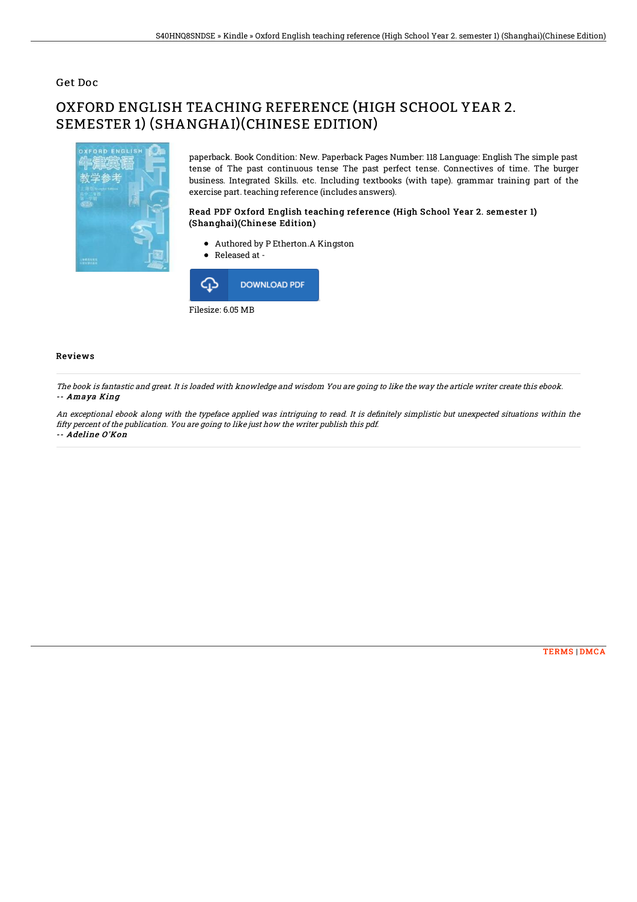### Get Doc

# OXFORD ENGLISH TEACHING REFERENCE (HIGH SCHOOL YEAR 2. SEMESTER 1) (SHANGHAI)(CHINESE EDITION)



paperback. Book Condition: New. Paperback Pages Number: 118 Language: English The simple past tense of The past continuous tense The past perfect tense. Connectives of time. The burger business. Integrated Skills. etc. Including textbooks (with tape). grammar training part of the exercise part. teaching reference (includes answers).

#### Read PDF Oxford English teaching reference (High School Year 2. semester 1) (Shanghai)(Chinese Edition)

- Authored by P Etherton.A Kingston
- Released at -



#### Reviews

The book is fantastic and great. It is loaded with knowledge and wisdom You are going to like the way the article writer create this ebook. -- Amaya King

An exceptional ebook along with the typeface applied was intriguing to read. It is definitely simplistic but unexpected situations within the fifty percent of the publication. You are going to like just how the writer publish this pdf. -- Adeline O'Kon